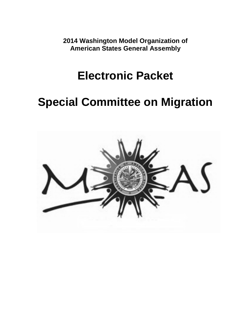**2014 Washington Model Organization of American States General Assembly**

## **Electronic Packet**

# **Special Committee on Migration**

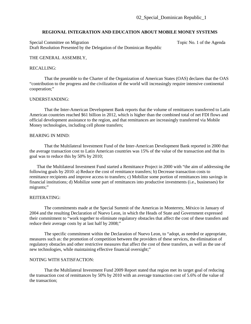## **REGIONAL INTEGRATION AND EDUCATION ABOUT MOBILE MONEY SYSTEMS**

Special Committee on Migration Special Committee on Migration Topic No. 1 of the Agenda Draft Resolution Presented by the Delegation of the Dominican Republic

#### THE GENERAL ASSEMBLY,

#### RECALLING:

That the preamble to the Charter of the Organization of American States (OAS) declares that the OAS "contribution to the progress and the civilization of the world will increasingly require intensive continental cooperation;"

#### UNDERSTANDING:

That the Inter-American Development Bank reports that the volume of remittances transferred to Latin American countries reached \$61 billion in 2012, which is higher than the combined total of net FDI flows and official development assistance to the region, and that remittances are increasingly transferred via Mobile Money technologies, including cell phone transfers;

## BEARING IN MIND:

That the Multilateral Investment Fund of the Inter-American Development Bank reported in 2000 that the average transaction cost to Latin American countries was 15% of the value of the transaction and that its goal was to reduce this by 50% by 2010;

That the Multilateral Investment Fund started a Remittance Project in 2000 with "the aim of addressing the following goals by 2010: a) Reduce the cost of remittance transfers; b) Decrease transaction costs to remittance recipients and improve access to transfers; c) Mobilize some portion of remittances into savings in financial institutions; d) Mobilize some part of remittances into productive investments (i.e., businesses) for migrants;"

#### REITERATING:

The commitments made at the Special Summit of the Americas in Monterrey, México in January of 2004 and the resulting Declaration of Nuevo Leon, in which the Heads of State and Government expressed their commitment to "work together to eliminate regulatory obstacles that affect the cost of these transfers and reduce their average costs by at last half by 2008;"

The specific commitment within the Declaration of Nuevo Leon, to "adopt, as needed or appropriate, measures such as: the promotion of competition between the providers of these services, the elimination of regulatory obstacles and other restrictive measures that affect the cost of these transfers, as well as the use of new technologies, while maintaining effective financial oversight;"

## NOTING WITH SATISFACTION:

That the Multilateral Investment Fund 2009 Report stated that region met its target goal of reducing the transaction cost of remittances by 50% by 2010 with an average transaction cost of 5.6% of the value of the transaction;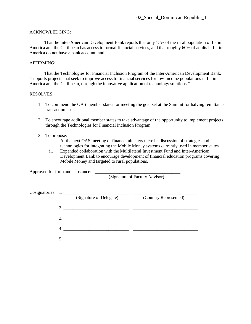## ACKNOWLEDGING:

That the Inter-American Development Bank reports that only 15% of the rural population of Latin America and the Caribbean has access to formal financial services, and that roughly 60% of adults in Latin America do not have a bank account; and

## AFFIRMING:

That the Technologies for Financial Inclusion Program of the Inter-American Development Bank, "supports projects that seek to improve access to financial services for low-income populations in Latin America and the Caribbean, through the innovative application of technology solutions,"

## RESOLVES:

- 1. To commend the OAS member states for meeting the goal set at the Summit for halving remittance transaction costs.
- 2. To encourage additional member states to take advantage of the opportunity to implement projects through the Technologies for Financial Inclusion Program.
- 3. To propose:
	- i. At the next OAS meeting of finance ministers there be discussion of strategies and technologies for integrating the Mobile Money systems currently used in member states.
	- ii. Expanded collaboration with the Multilateral Investment Fund and Inter-American Development Bank to encourage development of financial education programs covering Mobile Money and targeted to rural populations.

Approved for form and substance: \_\_\_\_\_\_\_\_\_\_\_\_\_\_\_\_\_\_\_\_\_\_\_\_\_\_\_\_\_\_\_\_\_\_\_\_\_\_

(Signature of Faculty Advisor)

|    | Cosignatories: 1.       |                       |
|----|-------------------------|-----------------------|
|    | (Signature of Delegate) | (Country Represented) |
| 2. |                         |                       |
|    | 3.                      |                       |
|    |                         |                       |
|    |                         |                       |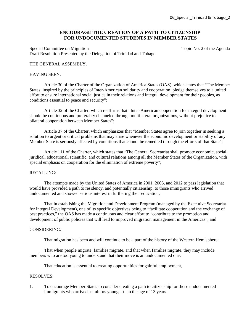## **ENCOURAGE THE CREATION OF A PATH TO CITIZENSHIP FOR UNDOCUMENTED STUDENTS IN MEMBER STATES**

Special Committee on Migration Special Committee on Migration Topic No. 2 of the Agenda Draft Resolution Presented by the Delegation of Trinidad and Tobago

## THE GENERAL ASSEMBLY,

## HAVING SEEN:

Article 30 of the Charter of the Organization of America States (OAS), which states that "The Member States, inspired by the principles of Inter-American solidarity and cooperation, pledge themselves to a united effort to ensure international social justice in their relations and integral development for their peoples, as conditions essential to peace and security";

Article 32 of the Charter, which reaffirms that "Inter-American cooperation for integral development should be continuous and preferably channeled through multilateral organizations, without prejudice to bilateral cooperation between Member States";

Article 37 of the Charter, which emphasizes that "Member States agree to join together in seeking a solution to urgent or critical problems that may arise whenever the economic development or stability of any Member State is seriously affected by conditions that cannot be remedied through the efforts of that State";

Article 111 of the Charter, which states that "The General Secretariat shall promote economic, social, juridical, educational, scientific, and cultural relations among all the Member States of the Organization, with special emphasis on cooperation for the elimination of extreme poverty";

#### RECALLING:

The attempts made by the United States of America in 2001, 2006, and 2012 to pass legislation that would have provided a path to residency, and potentially citizenship, to those immigrants who arrived undocumented and showed serious interest in furthering their education;

That in establishing the Migration and Development Program (managed by the Executive Secretariat for Integral Development), one of its specific objectives being to "facilitate cooperation and the exchange of best practices," the OAS has made a continuous and clear effort to "contribute to the promotion and development of public policies that will lead to improved migration management in the Americas"; and

#### CONSIDERING:

That migration has been and will continue to be a part of the history of the Western Hemisphere;

That when people migrate, families migrate, and that when families migrate, they may include members who are too young to understand that their move is an undocumented one;

That education is essential to creating opportunities for gainful employment,

## RESOLVES:

1. To encourage Member States to consider creating a path to citizenship for those undocumented immigrants who arrived as minors younger than the age of 13 years.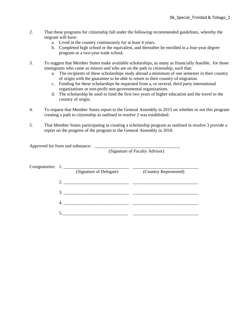- 2. That these programs for citizenship fall under the following recommended guidelines, whereby the migrant will have:
	- a. Lived in the country continuously for at least 4 years.
	- b. Completed high school or the equivalent, and thereafter be enrolled in a four-year degree program or a two-year trade school.
- 3. To suggest that Member States make available scholarships, as many as financially feasible, for those immigrants who came as minors and who are on the path to citizenship, such that:
	- a. The recipients of these scholarships study abroad a minimum of one semester in their country of origin with the guarantee to be able to return to their country of migration.
	- c. Funding for these scholarships be requested from a, or several, third party international organizations or non-profit non-governmental organizations.
	- d. The scholarship be used to fund the first two years of higher education and the travel to the country of origin.
- 4. To request that Member States report to the General Assembly in 2015 on whether or not this program creating a path to citizenship as outlined in resolve 2 was established.
- 5. That Member States participating in creating a scholarship program as outlined in resolve 3 provide a report on the progress of the program to the General Assembly in 2018.

|                   |                         | (Signature of Faculty Advisor) |
|-------------------|-------------------------|--------------------------------|
| Cosignatories: 1. | (Signature of Delegate) | (Country Represented)          |
| 2.                |                         |                                |
|                   |                         |                                |
| 4.                |                         |                                |
| $\sim$            |                         |                                |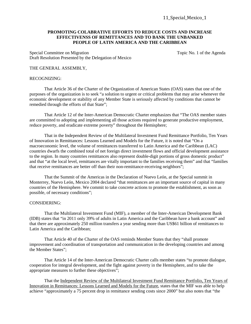## **PROMOTING COLABRATIVE EFFORTS TO REDUCE COSTS AND INCREASE EFFECTIVENSS OF REMITTANCES AND TO BANK THE UNBANKED PEOPLE OF LATIN AMERICA AND THE CARIBBEAN**

Special Committee on Migration Special Committee on Migration Topic No. 1 of the Agenda Draft Resolution Presented by the Delegation of Mexico

#### THE GENERAL ASSEMBLY,

#### RECOGNIZING:

That Article 36 of the Charter of the Organization of American States (OAS) states that one of the purposes of the organization is to seek "a solution to urgent or critical problems that may arise whenever the economic development or stability of any Member State is seriously affected by conditions that cannot be remedied through the efforts of that State";

That Article 12 of the Inter-American Democratic Charter emphasizes that "The OAS member states are committed to adopting and implementing all those actions required to generate productive employment, reduce poverty, and eradicate extreme poverty" throughout the Hemisphere;

That in the Independent Review of the Multilateral Investment Fund Remittance Portfolio, Ten Years of Innovation in Remittances: Lessons Learned and Models for the Future, it is noted that "On a macroeconomic level, the volume of remittances transferred to Latin America and the Caribbean (LAC) countries dwarfs the combined total of net foreign direct investment flows and official development assistance to the region. In many countries remittances also represent double-digit portions of gross domestic product" and that "at the local level, remittances are vitally important to the families receiving them" and that "families that receive remittances are better off than their non-remittance-receiving neighbors";

That the Summit of the Americas in the Declaration of Nuevo León, at the Special summit in Monterrey, Nuevo León, Mexico 2004 declared "that remittances are an important source of capital in many countries of the Hemisphere. We commit to take concrete actions to promote the establishment, as soon as possible, of necessary conditions";

#### CONSIDERING:

That the Multilateral Investment Fund (MIF), a member of the Inter-American Development Bank (IDB) states that "in 2011 only 39% of adults in Latin America and the Caribbean have a bank account" and that there are approximately 250 million transfers a year sending more than US\$61 billion of remittances to Latin America and the Caribbean;

That Article 40 of the Charter of the OAS reminds Member States that they "shall promote improvement and coordination of transportation and communication in the developing countries and among the Member States";

That Article 14 of the Inter-American Democratic Charter calls member states "to promote dialogue, cooperation for integral development, and the fight against poverty in the Hemisphere, and to take the appropriate measures to further these objectives";

That the Independent Review of the Multilateral Investment Fund Remittance Portfolio, Ten Years of Innovation in Remittances: Lessons Learned and Models for the Future, states that the MIF was able to help achieve "approximately a 75 percent drop in remittance sending costs since 2000" but also notes that "the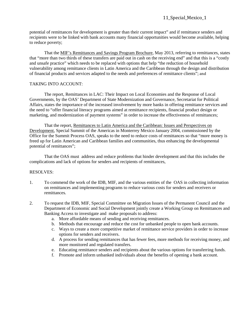potential of remittances for development is greater than their current impact" and if remittance senders and recipients were to be linked with bank accounts many financial opportunities would become available, helping to reduce poverty;

That the MIF's Remittances and Savings Program Brochure, May 2013, referring to remittances, states that "more than two thirds of these transfers are paid out in cash on the receiving end" and that this is a "costly and unsafe practice" which needs to be replaced with options that help "the reduction of household vulnerability among remittance clients in Latin America and the Caribbean through the design and distribution of financial products and services adapted to the needs and preferences of remittance clients"; and

## TAKING INTO ACCOUNT:

The report, Remittances in LAC: Their Impact on Local Economies and the Response of Local Governments, by the OAS' Department of State Modernization and Governance, Secretariat for Political Affairs, states the importance of the increased involvement by more banks in offering remittance services and the need to "offer financial literacy programs aimed at remittance recipients, financial product design or marketing, and modernization of payment systems" in order to increase the effectiveness of remittances;

That the report, Remittances to Latin America and the Caribbean: Issues and Perspectives on Development, Special Summit of the Americas in Monterrey Mexico January 2004, commissioned by the Office for the Summit Process OAS, speaks to the need to reduce costs of remittances so that "more money is freed up for Latin American and Caribbean families and communities, thus enhancing the developmental potential of remittances";

That the OAS must address and reduce problems that hinder development and that this includes the complications and lack of options for senders and recipients of remittances,

- 1. To commend the work of the IDB, MIF, and the various entities of the OAS in collecting information on remittances and implementing programs to reduce various costs for senders and receivers or remittances.
- 2. To request the IDB, MIF, Special Committee on Migration Issues of the Permanent Council and the Department of Economic and Social Development jointly create a Working Group on Remittances and Banking Access to investigate and make proposals to address:
	- a. More affordable means of sending and receiving remittances.
	- b. Methods that encourage and reduce the cost for unbanked people to open bank accounts.
	- c. Ways to create a more competitive market of remittance service providers in order to increase options for senders and receivers.
	- d. A process for sending remittances that has fewer fees, more methods for receiving money, and more monitored and regulated transfers.
	- e. Educating remittance senders and recipients about the various options for transferring funds.
	- f. Promote and inform unbanked individuals about the benefits of opening a bank account.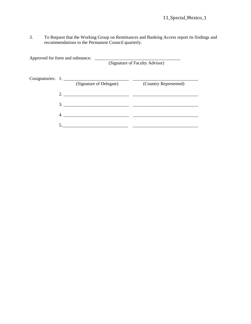3. To Request that the Working Group on Remittances and Banking Access report its findings and recommendations to the Permanent Council quarterly.

Approved for form and substance: \_\_\_\_\_\_\_\_\_\_\_\_\_\_\_\_\_\_\_\_\_\_\_\_\_\_\_\_\_\_\_\_\_\_\_\_\_\_ (Signature of Faculty Advisor) Cosignatories: 1. \_\_\_\_\_\_\_\_\_\_\_\_\_\_\_\_\_\_\_\_\_\_\_\_\_\_\_\_\_ \_\_\_\_\_\_\_\_\_\_\_\_\_\_\_\_\_\_\_\_\_\_\_\_\_\_\_\_\_ (Signature of Delegate) (Country Represented) 2. \_\_\_\_\_\_\_\_\_\_\_\_\_\_\_\_\_\_\_\_\_\_\_\_\_\_\_\_\_ \_\_\_\_\_\_\_\_\_\_\_\_\_\_\_\_\_\_\_\_\_\_\_\_\_\_\_\_\_ 3. \_\_\_\_\_\_\_\_\_\_\_\_\_\_\_\_\_\_\_\_\_\_\_\_\_\_\_\_\_ \_\_\_\_\_\_\_\_\_\_\_\_\_\_\_\_\_\_\_\_\_\_\_\_\_\_\_\_\_ 4. \_\_\_\_\_\_\_\_\_\_\_\_\_\_\_\_\_\_\_\_\_\_\_\_\_\_\_\_\_ \_\_\_\_\_\_\_\_\_\_\_\_\_\_\_\_\_\_\_\_\_\_\_\_\_\_\_\_\_ 5.\_\_\_\_\_\_\_\_\_\_\_\_\_\_\_\_\_\_\_\_\_\_\_\_\_\_\_\_\_ \_\_\_\_\_\_\_\_\_\_\_\_\_\_\_\_\_\_\_\_\_\_\_\_\_\_\_\_\_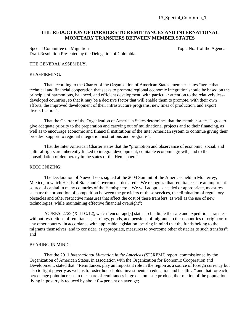13\_Special\_Colombia\_1

## **THE REDUCTION OF BARRIERS TO REMITTANCES AND INTERNATIONAL MONETARY TRANSFERS BETWEEN MEMBER STATES**

Special Committee on Migration Special Committee on Migration Topic No. 1 of the Agenda Draft Resolution Presented by the Delegation of Colombia

## THE GENERAL ASSEMBLY,

## REAFFIRMING:

That according to the Charter of the Organization of American States, member-states "agree that technical and financial cooperation that seeks to promote regional economic integration should be based on the principle of harmonious, balanced, and efficient development, with particular attention to the relatively lessdeveloped countries, so that it may be a decisive factor that will enable them to promote, with their own efforts, the improved development of their infrastructure programs, new lines of production, and export diversification";

That the Charter of the Organization of American States determines that the member-states "agree to give adequate priority to the preparation and carrying out of multinational projects and to their financing, as well as to encourage economic and financial institutions of the Inter American system to continue giving their broadest support to regional integration institutions and programs";

That the Inter American Charter states that the "promotion and observance of economic, social, and cultural rights are inherently linked to integral development, equitable economic growth, and to the consolidation of democracy in the states of the Hemisphere";

#### RECOGNIZING:

The Declaration of Nuevo Leon, signed at the 2004 Summit of the Americas held in Monterrey, Mexico, in which Heads of State and Government declared: "We recognize that remittances are an important source of capital in many countries of the Hemisphere…We will adopt, as needed or appropriate, measures such as: the promotion of competition between the providers of these services, the elimination of regulatory obstacles and other restrictive measures that affect the cost of these transfers, as well as the use of new technologies, while maintaining effective financial oversight";

AG/RES. 2729 (XLII-O/12), which "encourage[s] states to facilitate the safe and expeditious transfer without restrictions of remittances, earnings, goods, and pensions of migrants to their countries of origin or to any other country, in accordance with applicable legislation, bearing in mind that the funds belong to the migrants themselves, and to consider, as appropriate, measures to overcome other obstacles to such transfers"; and

#### BEARING IN MIND:

That the 2011 *International Migration in the Americas* (SICREMI) report, commissioned by the Organization of American States, in association with the Organization for Economic Cooperation and Development, stated that, "Remittances play an important role in the region as a source of foreign currency but also to fight poverty as well as to foster households' investments in education and health…" and that for each percentage point increase in the share of remittances in gross domestic product, the fraction of the population living in poverty is reduced by about 0.4 percent on average;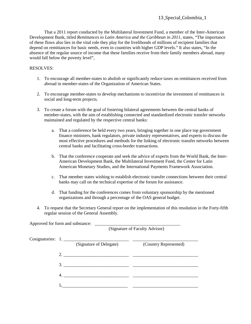That a 2011 report conducted by the Multilateral Investment Fund, a member of the Inter-American Development Bank, titled *Remittances to Latin America and the Caribbean in 2011*, states, "The importance of these flows also lies in the vital role they play for the livelihoods of millions of recipient families that depend on remittances for basic needs, even in countries with higher GDP levels." It also states, "In the absence of the regular source of income that these families receive from their family members abroad, many would fall below the poverty level",

- 1. To encourage all member-states to abolish or significantly reduce taxes on remittances received from abroad in member-states of the Organization of American States.
- 2. To encourage member-states to develop mechanisms to incentivize the investment of remittances in social and long-term projects.
- 3. To create a forum with the goal of fostering bilateral agreements between the central banks of member-states, with the aim of establishing connected and standardized electronic transfer networks maintained and regulated by the respective central banks:
	- a. That a conference be held every two years, bringing together in one place top government finance ministers, bank regulators, private industry representatives, and experts to discuss the most effective procedures and methods for the linking of electronic transfer networks between central banks and facilitating cross-border transactions.
	- b. That the conference cooperate and seek the advice of experts from the World Bank, the Inter-American Development Bank, the Multilateral Investment Fund, the Center for Latin American Monetary Studies, and the International Payments Framework Association.
	- c. That member states wishing to establish electronic transfer connections between their central banks may call on the technical expertise of the forum for assistance.
	- d. That funding for the conferences comes from voluntary sponsorship by the mentioned organizations and through a percentage of the OAS general budget.
- 4. To request that the Secretary General report on the implementation of this resolution in the Forty-fifth regular session of the General Assembly.

|  |                                                                                                                                                                                                                                                                                                                                                                                                                  | (Signature of Faculty Advisor) |
|--|------------------------------------------------------------------------------------------------------------------------------------------------------------------------------------------------------------------------------------------------------------------------------------------------------------------------------------------------------------------------------------------------------------------|--------------------------------|
|  | Cosignatories: 1.<br>(Signature of Delegate)                                                                                                                                                                                                                                                                                                                                                                     | (Country Represented)          |
|  | 2. $\frac{1}{\sqrt{1-\frac{1}{2}}\sqrt{1-\frac{1}{2}}\sqrt{1-\frac{1}{2}}\sqrt{1-\frac{1}{2}}\sqrt{1-\frac{1}{2}}\sqrt{1-\frac{1}{2}}\sqrt{1-\frac{1}{2}}\sqrt{1-\frac{1}{2}}\sqrt{1-\frac{1}{2}}\sqrt{1-\frac{1}{2}}\sqrt{1-\frac{1}{2}}\sqrt{1-\frac{1}{2}}\sqrt{1-\frac{1}{2}}\sqrt{1-\frac{1}{2}}\sqrt{1-\frac{1}{2}}\sqrt{1-\frac{1}{2}}\sqrt{1-\frac{1}{2}}\sqrt{1-\frac{1}{2}}\sqrt{1-\frac{1}{2}}\sqrt{$ |                                |
|  | 3.                                                                                                                                                                                                                                                                                                                                                                                                               |                                |
|  |                                                                                                                                                                                                                                                                                                                                                                                                                  |                                |
|  |                                                                                                                                                                                                                                                                                                                                                                                                                  |                                |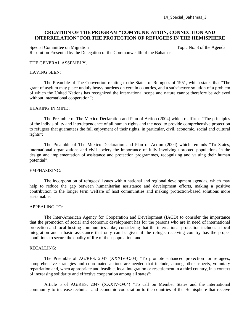## **CREATION OF THE PROGRAM "COMMUNICATION, CONNECTION AND INTERRELATION" FOR THE PROTECTION OF REFUGEES IN THE HEMISPHERE**

Special Committee on Migration Special Committee on Migration Topic No: 3 of the Agenda Resolution Presented by the Delegation of the Commonwealth of the Bahamas.

#### THE GENERAL ASSEMBLY,

#### HAVING SEEN:

The Preamble of The Convention relating to the Status of Refugees of 1951, which states that "The grant of asylum may place unduly heavy burdens on certain countries, and a satisfactory solution of a problem of which the United Nations has recognized the international scope and nature cannot therefore be achieved without international cooperation";

#### BEARING IN MIND:

The Preamble of The Mexico Declaration and Plan of Action (2004) which reaffirms "The principles of the indivisibility and interdependence of all human rights and the need to provide comprehensive protection to refugees that guarantees the full enjoyment of their rights, in particular, civil, economic, social and cultural rights";

The Preamble of The Mexico Declaration and Plan of Action (2004) which reminds "To States, international organizations and civil society the importance of fully involving uprooted populations in the design and implementation of assistance and protection programmes, recognizing and valuing their human potential";

#### EMPHASIZING:

The incorporation of refugees' issues within national and regional development agendas, which may help to reduce the gap between humanitarian assistance and development efforts, making a positive contribution to the longer term welfare of host communities and making protection-based solutions more sustainable;

#### APPEALING TO:

The Inter-American Agency for Cooperation and Development (IACD) to consider the importance that the promotion of social and economic development has for the persons who are in need of international protection and local hosting communities alike, considering that the international protection includes a local integration and a basic assistance that only can be given if the refugee-receiving country has the proper conditions to secure the quality of life of their population; and

#### RECALLING:

The Preamble of AG/RES. 2047 (XXXIV-O/04) "To promote enhanced protection for refugees, comprehensive strategies and coordinated actions are needed that include, among other aspects, voluntary repatriation and, when appropriate and feasible, local integration or resettlement in a third country, in a context of increasing solidarity and effective cooperation among all states";

Article 5 of AG/RES. 2047 (XXXIV-O/04) "To call on Member States and the international community to increase technical and economic cooperation to the countries of the Hemisphere that receive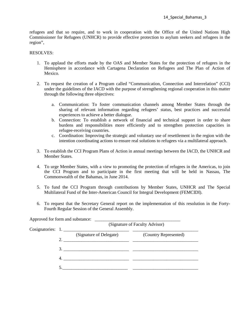refugees and that so require, and to work in cooperation with the Office of the United Nations High Commissioner for Refugees (UNHCR) to provide effective protection to asylum seekers and refugees in the region",

- 1. To applaud the efforts made by the OAS and Member States for the protection of refugees in the Hemisphere in accordance with Cartagena Declaration on Refugees and The Plan of Action of Mexico.
- 2. To request the creation of a Program called "Communication, Connection and Interrelation" (CCI) under the guidelines of the IACD with the purpose of strengthening regional cooperation in this matter through the following three objectives:
	- a. Communication: To foster communication channels among Member States through the sharing of relevant information regarding refugees' status, best practices and successful experiences to achieve a better dialogue.
	- b. Connection: To establish a network of financial and technical support in order to share burdens and responsibilities more efficiently and to strengthen protection capacities in refugee-receiving countries.
	- c. Coordination: Improving the strategic and voluntary use of resettlement in the region with the intention coordinating actions to ensure real solutions to refugees via a multilateral approach.
- 3. To establish the CCI Program Plans of Action in annual meetings between the IACD, the UNHCR and Member States.
- 4. To urge Member States, with a view to promoting the protection of refugees in the Americas, to join the CCI Program and to participate in the first meeting that will be held in Nassau, The Commonwealth of the Bahamas, in June 2014.
- 5. To fund the CCI Program through contributions by Member States, UNHCR and The Special Multilateral Fund of the Inter-American Council for Integral Development (FEMCIDI).
- 6. To request that the Secretary General report on the implementation of this resolution in the Forty-Fourth Regular Session of the General Assembly.

|    |                                              | (Signature of Faculty Advisor) |
|----|----------------------------------------------|--------------------------------|
|    | Cosignatories: 1.<br>(Signature of Delegate) | (Country Represented)          |
| 2. |                                              |                                |
|    | 3.                                           |                                |
|    |                                              |                                |
|    |                                              |                                |
|    |                                              |                                |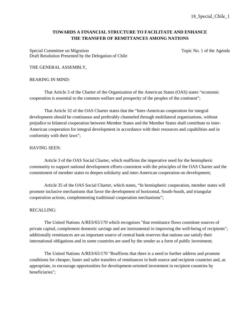## **TOWARDS A FINANCIAL STRUCTURE TO FACILITATE AND ENHANCE THE TRANSFER OF REMITTANCES AMONG NATIONS**

Special Committee on Migration Special Committee on Migration Topic No. 1 of the Agenda Draft Resolution Presented by the Delegation of Chile

## THE GENERAL ASSEMBLY,

#### BEARING IN MIND:

That Article 3 of the Charter of the Organization of the American States (OAS) states "economic cooperation is essential to the common welfare and prosperity of the peoples of the continent";

That Article 32 of the OAS Charter states that the "Inter-American cooperation for integral development should be continuous and preferably channeled through multilateral organizations, without prejudice to bilateral cooperation between Member States and the Member States shall contribute to inter-American cooperation for integral development in accordance with their resources and capabilities and in conformity with their laws";

#### HAVING SEEN:

Article 3 of the OAS Social Charter, which reaffirms the imperative need for the hemispheric community to support national development efforts consistent with the principles of the OAS Charter and the commitment of member states to deepen solidarity and inter-American cooperation on development;

Article 35 of the OAS Social Charter, which states, "In hemispheric cooperation, member states will promote inclusive mechanisms that favor the development of horizontal, South-South, and triangular cooperation actions, complementing traditional cooperation mechanisms";

## RECALLING:

The United Nations A/RES/65/170 which recognizes "that remittance flows constitute sources of private capital, complement domestic savings and are instrumental in improving the well-being of recipients"; additionally remittances are an important source of central bank reserves that nations use satisfy their international obligations and in some countries are used by the sender as a form of public investment;

The United Nations A/RES/65/170 "Reaffirms that there is a need to further address and promote conditions for cheaper, faster and safer transfers of remittances in both source and recipient countries and, as appropriate, to encourage opportunities for development-oriented investment in recipient countries by beneficiaries";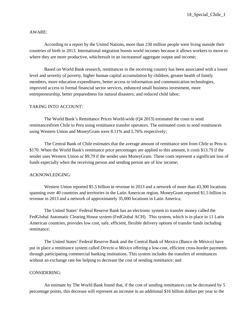## AWARE:

According to a report by the United Nations, more than 230 million people were living outside their countries of birth in 2013. International migration boosts world incomes because it allows workers to move to where they are more productive, which result in an increases of aggregate output and income;

Based on World Bank research, remittances in the receiving country has been associated with a lower level and severity of poverty, higher human capital accumulation by children, greater health of family members, more education expenditures, better access to information and communication technologies, improved access to formal financial sector services, enhanced small business investment, more entrepreneurship, better preparedness for natural disasters; and reduced child labor;

## TAKING INTO ACCOUNT:

The World Bank's Remittance Prices World-wide (Q4 2013) estimated the costs to send remittancesfrom Chile to Peru using remittance transfer operators. The estimated costs to send remittances using Western Union and MoneyGram were 8.11% and 5.76% respectively;

The Central Bank of Chile estimates that the average amount of remittance sent from Chile to Peru is \$170. When the World Bank's remittance price percentages are applied to this amount, it costs \$13.79 if the sender uses Western Union or \$9.79 if the sender uses MoneyGram. These costs represent a significant loss of funds especially when the receiving person and sending person are of low income;

#### ACKNOWLEDGING:

Western Union reported \$5.5 billion in revenue in 2013 and a network of more than 43,300 locations spanning over 40 countries and territories in the Latin American region. MoneyGram reported \$1.5 billion in revenue in 2013 and a network of approximately 35,000 locations in Latin America;

The United States' Federal Reserve Bank has an electronic system to transfer money called the FedGlobal Automatic Clearing House system (FedGlobal ACH). This system, which is in place in 11 Latin American countries, provides low cost, safe, efficient, flexible delivery options of transfer funds including remittance;

The United States' Federal Reserve Bank and the Central Bank of Mexico (Banco de México) have put in place a remittance system called *Directo a México* offering a low-cost, efficient cross-border payments through participating commercial banking institutions. This system includes the transfers of remittances without an exchange rate fee helping to decrease the cost of sending remittance; and

## CONSIDERING:

An estimate by The World Bank found that, if the cost of sending remittances can be decreased by 5 percentage points, this decrease will represent an increase in an additional \$16 billion dollars per year to the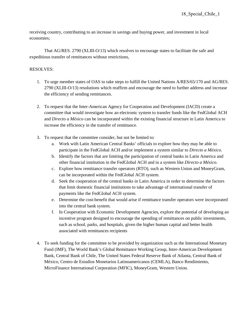receiving country, contributing to an increase in savings and buying power, and investment in local economies;

That AG/RES. 2790 (XLIII-O/13) which resolves to encourage states to facilitate the safe and expeditious transfer of remittances without restrictions,

- 1. To urge member states of OAS to take steps to fulfill the United Nations A/RES/65/170 and AG/RES. 2790 (XLIII-O/13) resolutions which reaffirm and encourage the need to further address and increase the efficiency of sending remittances.
- 2. To request that the Inter-American Agency for Cooperation and Development (IACD) create a committee that would investigate how an electronic system to transfer funds like the FedGlobal ACH and *Directo a México* can be incorporated within the existing financial structure in Latin America to increase the efficiency in the transfer of remittance.
- 3. To request that the committee consider, but not be limited to:
	- a. Work with Latin American Central Banks' officials to explore how they may be able to participate in the FedGlobal ACH and/or implement a system similar to *Directo a México*.
	- b. Identify the factors that are limiting the participation of central banks in Latin America and other financial institution in the FedGlobal ACH and in a system like *Directo a México*.
	- c. Explore how remittance transfer operators (RTO), such as Western Union and MoneyGram, can be incorporated within the FedGlobal ACH system.
	- d. Seek the cooperation of the central banks in Latin America in order to determine the factors that limit domestic financial institutions to take advantage of international transfer of payments like the FedGlobal ACH system.
	- e. Determine the cost-benefit that would arise if remittance transfer operators were incorporated into the central bank system.
	- f. In Cooperation with Economic Development Agencies, explore the potential of developing an incentive program designed to encourage the spending of remittances on public investments, such as school, parks, and hospitals, given the higher human capital and better health associated with remittances recipients
- 4. To seek funding for the committee to be provided by organization such as the International Monetary Fund (IMF), The World Bank's Global Remittance Working Group, Inter-American Development Bank, Central Bank of Chile, The United States Federal Reserve Bank of Atlanta, Central Bank of México, Centro de Estudios Monetarios Latinoamericanos (CEMLA), Banco Rendimiento, MicroFinance International Corporation (MFIC), MoneyGram, Western Union.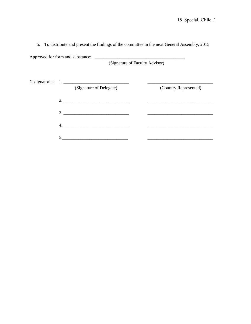5. To distribute and present the findings of the committee in the next General Assembly, 2015

Approved for form and substance: \_\_\_\_\_\_\_\_\_\_\_\_\_\_\_\_\_\_\_\_\_\_\_\_\_\_\_\_\_\_\_\_\_\_\_\_\_\_\_\_

(Signature of Faculty Advisor)

| Cosignatories: 1. |                         |  |                       |
|-------------------|-------------------------|--|-----------------------|
|                   | (Signature of Delegate) |  | (Country Represented) |
|                   | 2.                      |  |                       |
|                   | 3.                      |  |                       |
| 4.                |                         |  |                       |
|                   |                         |  |                       |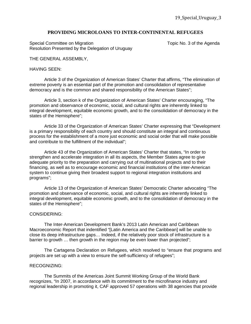## **PROVIDING MICROLOANS TO INTER-CONTINENTAL REFUGEES**

Special Committee on Migration Moration Topic No. 3 of the Agenda Resolution Presented by the Delegation of Uruguay

THE GENERAL ASSEMBLY,

## HAVING SEEN:

Article 3 of the Organization of American States' Charter that affirms, "The elimination of extreme poverty is an essential part of the promotion and consolidation of representative democracy and is the common and shared responsibility of the American States";

Article 3, section k of the Organization of American States' Charter encouraging, "The promotion and observance of economic, social, and cultural rights are inherently linked to integral development, equitable economic growth, and to the consolidation of democracy in the states of the Hemisphere";

Article 33 of the Organization of American States' Charter expressing that "Development is a primary responsibility of each country and should constitute an integral and continuous process for the establishment of a more just economic and social order that will make possible and contribute to the fulfillment of the individual";

Article 43 of the Organization of American States' Charter that states, "In order to strengthen and accelerate integration in all its aspects, the Member States agree to give adequate priority to the preparation and carrying out of multinational projects and to their financing, as well as to encourage economic and financial institutions of the inter-American system to continue giving their broadest support to regional integration institutions and programs";

Article 13 of the Organization of American States' Democratic Charter advocating "The promotion and observance of economic, social, and cultural rights are inherently linked to integral development, equitable economic growth, and to the consolidation of democracy in the states of the Hemisphere";

## CONSIDERING:

The Inter-American Development Bank's 2013 Latin American and Caribbean Macroeconomic Report that indentified "[Latin America and the Caribbean] will be unable to close its deep infrastructure gaps… Indeed, if the relatively poor stock of infrastructure is a barrier to growth … then growth in the region may be even lower than projected";

The Cartagena Declaration on Refugees, which resolved to "ensure that programs and projects are set up with a view to ensure the self-sufficiency of refugees";

## RECOGNIZING:

The Summits of the Americas Joint Summit Working Group of the World Bank recognizes, "In 2007, in accordance with its commitment to the microfinance industry and regional leadership in promoting it, CAF approved 57 operations with 38 agencies that provide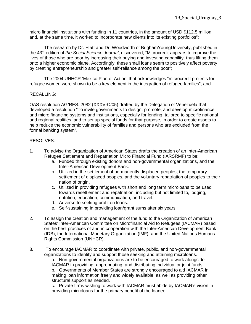micro financial institutions with funding in 11 countries, in the amount of USD \$112.5 million, and, at the same time, it worked to incorporate new clients into its existing portfolios";

The research by Dr. Hiatt and Dr. Woodworth of BrighamYoungUniversity, published in the 43rd edition of *the Social Science Journal*, discovered, "Microcredit appears to improve the lives of those who are poor by increasing their buying and investing capability, thus lifting them onto a higher economic plane. Accordingly, these small loans seem to positively affect poverty by creating entrepreneurship and greater self-reliance among the poor";

The 2004 UNHCR 'Mexico Plan of Action' that acknowledges "microcredit projects for refugee women were shown to be a key element in the integration of refugee families"; and

## RECALLING:

OAS resolution AG/RES. 2082 (XXXV-O/05) drafted by the Delegation of Venezuela that developed a resolution "To invite governments to design, promote, and develop microfinance and micro financing systems and institutions, especially for lending, tailored to specific national and regional realities, and to set up special funds for that purpose, in order to create assets to help reduce the economic vulnerability of families and persons who are excluded from the formal banking system",

## RESOLVES:

- 1. To advise the Organization of American States drafts the creation of an Inter-American Refugee Settlement and Repatriation Micro Financial Fund (IARSRMF) to be:
	- a. Funded through existing donors and non-governmental organizations, and the Inter-American Development Bank.
	- b. Utilized in the settlement of permanently displaced peoples, the temporary settlement of displaced peoples, and the voluntary repatriation of peoples to their nation of origin.
	- c. Utilized in providing refugees with short and long term microloans to be used towards resettlement and repatriation, including but not limited to, lodging, nutrition, education, communication, and travel.
	- d. Adverse to seeking profit on loans.
	- e. Self-sustaining in providing loan/grant sums after six years.
- 2. To assign the creation and management of the fund to the Organization of American States' Inter-American Committee on Microfinancial Aid to Refugees (IACMAR) based on the best practices of and in cooperation with the Inter-American Development Bank (IDB), the International Monetary Organization (IMF), and the United Nations Humans Rights Commission (UNHCR).
- 3. To encourage IACMAR to coordinate with private, public, and non-governmental organizations to identify and support those seeking and attaining microloans.

a. Non-governmental organizations are to be encouraged to work alongside IACMAR in providing, appropriating, and distributing individual or joint funds. b. Governments of Member States are strongly encouraged to aid IACMAR in making loan information freely and widely available, as well as providing other structural support as needed.

c. Private firms wishing to work with IACMAR must abide by IACMAR's vision in providing microloans for the primary benefit of the loanee.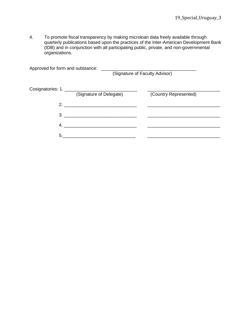4. To promote fiscal transparency by making microloan data freely available through quarterly publications based upon the practices of the Inter-American Development Bank (IDB) and in conjunction with all participating public, private, and non-governmental organizations.

| Approved for form and substance: |                               | (Signature of Faculty Advisor) |
|----------------------------------|-------------------------------|--------------------------------|
|                                  | (Signature of Delegate)       | (Country Represented)          |
|                                  | 2.                            |                                |
|                                  | $3.$ $\overline{\phantom{a}}$ |                                |
| 4.                               |                               |                                |
| 5.                               |                               |                                |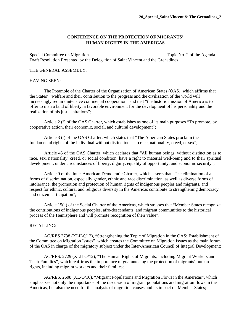## **CONFERENCE ON THE PROTECTION OF MIGRANTS' HUMAN RIGHTS IN THE AMERICAS**

Special Committee on Migration Special Committee on Migration Topic No. 2 of the Agenda Draft Resolution Presented by the Delegation of Saint Vincent and the Grenadines

## THE GENERAL ASSEMBLY,

## HAVING SEEN:

The Preamble of the Charter of the Organization of American States (OAS), which affirms that the States' "welfare and their contribution to the progress and the civilization of the world will increasingly require intensive continental cooperation" and that "the historic mission of America is to offer to man a land of liberty, a favorable environment for the development of his personality and the realization of his just aspirations";

Article 2 (f) of the OAS Charter, which establishes as one of its main purposes "To promote, by cooperative action, their economic, social, and cultural development";

Article 3 (l) of the OAS Charter, which states that "The American States proclaim the fundamental rights of the individual without distinction as to race, nationality, creed, or sex";

Article 45 of the OAS Charter, which declares that "All human beings, without distinction as to race, sex, nationality, creed, or social condition, have a right to material well-being and to their spiritual development, under circumstances of liberty, dignity, equality of opportunity, and economic security";

Article 9 of the Inter-American Democratic Charter, which asserts that "The elimination of all forms of discrimination, especially gender, ethnic and race discrimination, as well as diverse forms of intolerance, the promotion and protection of human rights of indigenous peoples and migrants, and respect for ethnic, cultural and religious diversity in the Americas contribute to strengthening democracy and citizen participation";

Article 15(a) of the Social Charter of the Americas, which stresses that "Member States recognize the contributions of indigenous peoples, afro-descendants, and migrant communities to the historical process of the Hemisphere and will promote recognition of their value";

## RECALLING:

AG/RES 2738 (XLII-0/12), "Strengthening the Topic of Migration in the OAS: Establishment of the Committee on Migration Issues", which creates the Committee on Migration Issues as the main forum of the OAS in charge of the migratory subject under the Inter-American Council of Integral Development;

AG/RES. 2729 (XLII-O/12), "The Human Rights of Migrants, Including Migrant Workers and Their Families", which reaffirms the importance of guaranteeing the protection of migrants´ human rights, including migrant workers and their families;

AG/RES. 2608 (XL-O/10), "Migrant Populations and Migration Flows in the Americas", which emphasizes not only the importance of the discussion of migrant populations and migration flows in the Americas, but also the need for the analysis of migration causes and its impact on Member States;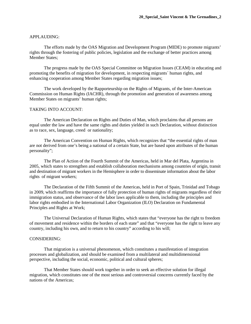#### APPLAUDING:

The efforts made by the OAS Migration and Development Program (MIDE) to promote migrants' rights through the fostering of public policies, legislation and the exchange of better practices among Member States;

The progress made by the OAS Special Committee on Migration Issues (CEAM) in educating and promoting the benefits of migration for development, in respecting migrants´ human rights, and enhancing cooperation among Member States regarding migration issues;

The work developed by the Rapporteurship on the Rights of Migrants, of the Inter-American Commission on Human Rights (IACHR), through the promotion and generation of awareness among Member States on migrants' human rights;

#### TAKING INTO ACCOUNT:

The American Declaration on Rights and Duties of Man, which proclaims that all persons are equal under the law and have the same rights and duties yielded in such Declaration, without distinction as to race, sex, language, creed or nationality;

The American Convention on Human Rights, which recognizes that "the essential rights of man are not derived from one's being a national of a certain State, but are based upon attributes of the human personality";

The Plan of Action of the Fourth Summit of the Americas, held in Mar del Plata, Argentina in 2005, which states to strengthen and establish collaboration mechanisms among countries of origin, transit and destination of migrant workers in the Hemisphere in order to disseminate information about the labor rights of migrant workers;

The Declaration of the Fifth Summit of the Americas, held in Port of Spain, Trinidad and Tobago in 2009, which reaffirms the importance of fully protection of human rights of migrants regardless of their immigration status, and observance of the labor laws applicable to them, including the principles and labor rights embodied in the International Labor Organization (ILO) Declaration on Fundamental Principles and Rights at Work;

The Universal Declaration of Human Rights, which states that "everyone has the right to freedom of movement and residence within the borders of each state" and that "everyone has the right to leave any country, including his own, and to return to his country" according to his will;

## CONSIDERING:

That migration is a universal phenomenon, which constitutes a manifestation of integration processes and globalization, and should be examined from a multilateral and multidimensional perspective, including the social, economic, political and cultural spheres;

That Member States should work together in order to seek an effective solution for illegal migration, which constitutes one of the most serious and controversial concerns currently faced by the nations of the Americas;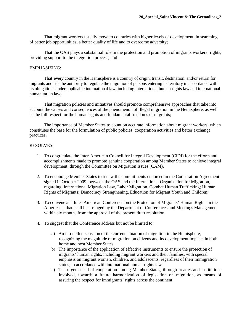That migrant workers usually move to countries with higher levels of development, in searching of better job opportunities, a better quality of life and to overcome adversity;

That the OAS plays a substantial role in the protection and promotion of migrants workers' rights, providing support to the integration process; and

## EMPHASIZING:

That every country in the Hemisphere is a country of origin, transit, destination, and/or return for migrants and has the authority to regulate the migration of persons entering its territory in accordance with its obligations under applicable international law, including international human rights law and international humanitarian law;

That migration policies and initiatives should promote comprehensive approaches that take into account the causes and consequences of the phenomenon of illegal migration in the Hemisphere, as well as the full respect for the human rights and fundamental freedoms of migrants;

The importance of Member States to count on accurate information about migrant workers, which constitutes the base for the formulation of public policies, cooperation activities and better exchange practices,

- 1. To congratulate the Inter-American Council for Integral Development (CIDI) for the efforts and accomplishments made to promote genuine cooperation among Member States to achieve integral development, through the Committee on Migration Issues (CAM).
- 2. To encourage Member States to renew the commitments endorsed in the Cooperation Agreement signed in October 2009, between the OAS and the International Organization for Migration, regarding International Migration Law, Labor Migration, Combat Human Trafficking; Human Rights of Migrants; Democracy Strengthening, Education for Migrant Youth and Children;
- 3. To convene an "Inter-American Conference on the Protection of Migrants' Human Rights in the Americas", that shall be arranged by the Department of Conferences and Meetings Management within six months from the approval of the present draft resolution.
- 4. To suggest that the Conference address but not be limited to:
	- a) An in-depth discussion of the current situation of migration in the Hemisphere, recognizing the magnitude of migration on citizens and its development impacts in both home and host Member States.
	- b) The importance of the application of effective instruments to ensure the protection of migrants' human rights, including migrant workers and their families, with special emphasis on migrant women, children, and adolescents, regardless of their immigration status, in accordance with international human rights law.
	- c) The urgent need of cooperation among Member States, through treaties and institutions involved, towards a future harmonization of legislation on migration, as means of assuring the respect for immigrants' rights across the continent.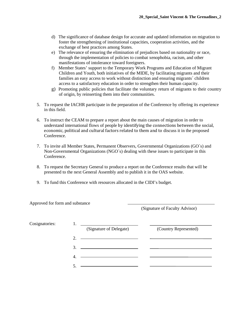- d) The significance of database design for accurate and updated information on migration to foster the strengthening of institutional capacities, cooperation activities, and the exchange of best practices among States.
- e) The relevance of ensuring the elimination of prejudices based on nationality or race, through the implementation of policies to combat xenophobia, racism, and other manifestations of intolerance toward foreigners.
- f) Member States' support to the Temporary Work Programs and Education of Migrant Children and Youth, both initiatives of the MIDE, by facilitating migrants and their families an easy access to work without distinction and ensuring migrants´ children access to a satisfactory education in order to strengthen their human capacity.
- g) Promoting public policies that facilitate the voluntary return of migrants to their country of origin, by reinserting them into their communities.
- 5. To request the IACHR participate in the preparation of the Conference by offering its experience in this field.
- 6. To instruct the CEAM to prepare a report about the main causes of migration in order to understand international flows of people by identifying the connections between the social, economic, political and cultural factors related to them and to discuss it in the proposed Conference.
- 7. To invite all Member States, Permanent Observers, Governmental Organizations (GO´s) and Non-Governmental Organizations (NGO´s) dealing with these issues to participate in this Conference.
- 8. To request the Secretary General to produce a report on the Conference results that will be presented to the next General Assembly and to publish it in the OAS website.
- 9. To fund this Conference with resources allocated in the CIDI's budget.

Approved for form and substance

(Signature of Faculty Advisor)

| Cosignatories: |    | <u> 1980 - Andrea Andrew Maria (h. 1980).</u>                                                                           |                       |
|----------------|----|-------------------------------------------------------------------------------------------------------------------------|-----------------------|
|                |    | (Signature of Delegate)                                                                                                 | (Country Represented) |
|                | 2. | <u> The Communication of the Communication of the Communication of the Communication of the Communication of the Co</u> |                       |
|                |    |                                                                                                                         |                       |
|                | 4. |                                                                                                                         |                       |
|                |    |                                                                                                                         |                       |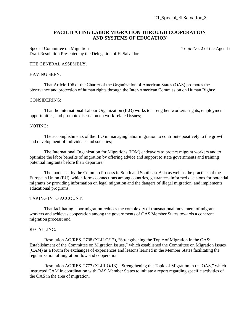## **FACILITATING LABOR MIGRATION THROUGH COOPERATION AND SYSTEMS OF EDUCATION**

Special Committee on Migration Special Committee on Migration Topic No. 2 of the Agenda Draft Resolution Presented by the Delegation of El Salvador

## THE GENERAL ASSEMBLY,

## HAVING SEEN:

That Article 106 of the Charter of the Organization of American States (OAS) promotes the observance and protection of human rights through the Inter-American Commission on Human Rights;

## CONSIDERING:

That the International Labour Organization (ILO) works to strengthen workers' rights, employment opportunities, and promote discussion on work-related issues;

#### NOTING:

The accomplishments of the ILO in managing labor migration to contribute positively to the growth and development of individuals and societies;

The International Organization for Migrations (IOM) endeavors to protect migrant workers and to optimize the labor benefits of migration by offering advice and support to state governments and training potential migrants before their departure;

The model set by the Colombo Process in South and Southeast Asia as well as the practices of the European Union (EU), which forms connections among countries, guarantees informed decisions for potential migrants by providing information on legal migration and the dangers of illegal migration, and implements educational programs;

#### TAKING INTO ACCOUNT:

That facilitating labor migration reduces the complexity of transnational movement of migrant workers and achieves cooperation among the governments of OAS Member States towards a coherent migration process; and

## RECALLING:

Resolution AG/RES. 2738 (XLII-O/12), "Strengthening the Topic of Migration in the OAS: Establishment of the Committee on Migration Issues," which established the Committee on Migration Issues (CAM) as a forum for exchanges of experiences and lessons learned in the Member States facilitating the regularization of migration flow and cooperation;

Resolution AG/RES. 2777 (XLIII-O/13), "Strengthening the Topic of Migration in the OAS," which instructed CAM in coordination with OAS Member States to initiate a report regarding specific activities of the OAS in the area of migration,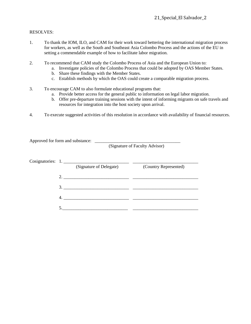## RESOLVES:

- 1. To thank the IOM, ILO, and CAM for their work toward bettering the international migration process for workers, as well as the South and Southeast Asia Colombo Process and the actions of the EU in setting a commendable example of how to facilitate labor migration.
- 2. To recommend that CAM study the Colombo Process of Asia and the European Union to:
	- a. Investigate policies of the Colombo Process that could be adopted by OAS Member States.
	- b. Share these findings with the Member States.
	- c. Establish methods by which the OAS could create a comparable migration process.
- 3. To encourage CAM to also formulate educational programs that:
	- a. Provide better access for the general public to information on legal labor migration.
	- b. Offer pre-departure training sessions with the intent of informing migrants on safe travels and resources for integration into the host society upon arrival.
- 4. To execute suggested activities of this resolution in accordance with availability of financial resources.

Approved for form and substance: (Signature of Faculty Advisor) Cosignatories: 1. \_\_\_\_\_\_\_\_\_\_\_\_\_\_\_\_\_\_\_\_\_\_\_\_\_\_\_\_\_ \_\_\_\_\_\_\_\_\_\_\_\_\_\_\_\_\_\_\_\_\_\_\_\_\_\_\_\_\_ (Signature of Delegate) (Country Represented) 2. \_\_\_\_\_\_\_\_\_\_\_\_\_\_\_\_\_\_\_\_\_\_\_\_\_\_\_\_\_ \_\_\_\_\_\_\_\_\_\_\_\_\_\_\_\_\_\_\_\_\_\_\_\_\_\_\_\_\_ 3. \_\_\_\_\_\_\_\_\_\_\_\_\_\_\_\_\_\_\_\_\_\_\_\_\_\_\_\_\_ \_\_\_\_\_\_\_\_\_\_\_\_\_\_\_\_\_\_\_\_\_\_\_\_\_\_\_\_\_ 4. \_\_\_\_\_\_\_\_\_\_\_\_\_\_\_\_\_\_\_\_\_\_\_\_\_\_\_\_\_ \_\_\_\_\_\_\_\_\_\_\_\_\_\_\_\_\_\_\_\_\_\_\_\_\_\_\_\_\_ 5.\_\_\_\_\_\_\_\_\_\_\_\_\_\_\_\_\_\_\_\_\_\_\_\_\_\_\_\_\_ \_\_\_\_\_\_\_\_\_\_\_\_\_\_\_\_\_\_\_\_\_\_\_\_\_\_\_\_\_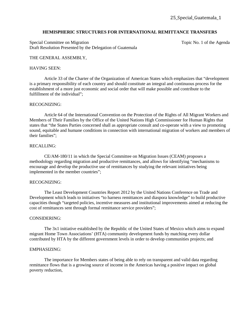#### **HEMISPHERIC STRUCTURES FOR INTERNATIONAL REMITTANCE TRANSFERS**

Special Committee on Migration Special Committee on Migration Topic No. 1 of the Agenda Draft Resolution Presented by the Delegation of Guatemala

#### THE GENERAL ASSEMBLY,

#### HAVING SEEN:

Article 33 of the Charter of the Organization of American States which emphasizes that "development is a primary responsibility of each country and should constitute an integral and continuous process for the establishment of a more just economic and social order that will make possible and contribute to the fulfillment of the individual";

#### RECOGNIZING:

Article 64 of the International Convention on the Protection of the Rights of All Migrant Workers and Members of Their Families by the Office of the United Nations High Commissioner for Human Rights that states that "the States Parties concerned shall as appropriate consult and co-operate with a view to promoting sound, equitable and humane conditions in connection with international migration of workers and members of their families";

#### RECALLING:

CE/AM-180/11 in which the Special Committee on Migration Issues (CEAM) proposes a methodology regarding migration and productive remittances, and allows for identifying "mechanisms to encourage and develop the productive use of remittances by studying the relevant initiatives being implemented in the member countries";

## RECOGNIZING:

The Least Development Countries Report 2012 by the United Nations Conference on Trade and Development which leads to initiatives "to harness remittances and diaspora knowledge" to build productive capacities though "targeted policies, incentive measures and institutional improvements aimed at reducing the cost of remittances sent through formal remittance service providers";

#### CONSIDERING:

The 3x1 initiative established by the Republic of the United States of Mexico which aims to expand migrant Home Town Associations' (HTA) community development funds by matching every dollar contributed by HTA by the different government levels in order to develop communities projects; and

## EMPHASIZING:

The importance for Members states of being able to rely on transparent and valid data regarding remittance flows that is a growing source of income in the Americas having a positive impact on global poverty reduction,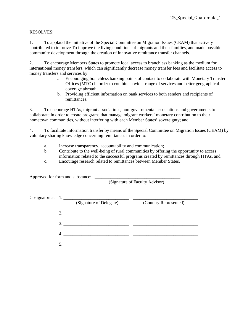## RESOLVES:

1. To applaud the initiative of the Special Committee on Migration Issues (CEAM) that actively contributed to improve To improve the living conditions of migrants and their families, and made possible community development through the creation of innovative remittance transfer channels.

2. To encourage Members States to promote local access to branchless banking as the medium for international money transfers, which can significantly decrease money transfer fees and facilitate access to money transfers and services by:

- a. Encouraging branchless banking points of contact to collaborate with Monetary Transfer Offices (MTO) in order to combine a wider range of services and better geographical coverage abroad;
- b. Providing efficient information on bank services to both senders and recipients of remittances.

3. To encourage HTAs, migrant associations, non-governmental associations and governments to collaborate in order to create programs that manage migrant workers' monetary contribution to their hometown communities, without interfering with each Member States' sovereignty; and

4. To facilitate information transfer by means of the Special Committee on Migration Issues (CEAM) by voluntary sharing knowledge concerning remittances in order to:

- a. Increase transparency, accountability and communication;
- b. Contribute to the well-being of rural communities by offering the opportunity to access information related to the successful programs created by remittances through HTAs, and
- c. Encourage research related to remittances between Member States.

Approved for form and substance:

(Signature of Faculty Advisor)

|  | Cosignatories: 1.       |                       |
|--|-------------------------|-----------------------|
|  | (Signature of Delegate) | (Country Represented) |
|  | 2.                      |                       |
|  | 3.                      |                       |
|  |                         |                       |
|  |                         |                       |
|  |                         |                       |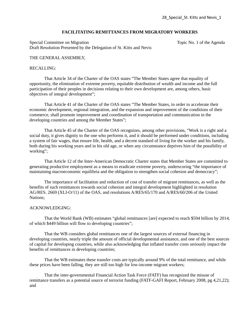## **FACILITATING REMITTANCES FROM MIGRATORY WORKERS**

Special Committee on Migration Topic No. 1 of the Agenda Draft Resolution Presented by the Delegation of St. Kitts and Nevis

## THE GENERAL ASSEMBLY,

## RECALLING:

That Article 34 of the Charter of the OAS states "The Member States agree that equality of opportunity, the elimination of extreme poverty, equitable distribution of wealth and income and the full participation of their peoples in decisions relating to their own development are, among others, basic objectives of integral development";

That Article 41 of the Charter of the OAS states "The Member States, in order to accelerate their economic development, regional integration, and the expansion and improvement of the conditions of their commerce, shall promote improvement and coordination of transportation and communication in the developing countries and among the Member States";

That Article 45 of the Charter of the OAS recognizes, among other provisions, "Work is a right and a social duty, it gives dignity to the one who performs it, and it should be performed under conditions, including a system of fair wages, that ensure life, health, and a decent standard of living for the worker and his family, both during his working years and in his old age, or when any circumstance deprives him of the possibility of working";

That Article 12 of the Inter-American Democratic Charter states that Member States are committed to generating productive employment as a means to eradicate extreme poverty, underscoring "the importance of maintaining macroeconomic equilibria and the obligation to strengthen social cohesion and democracy";

The importance of facilitation and reduction of cost of transfer of migrant remittances, as well as the benefits of such remittances towards social cohesion and integral development highlighted in resolution AG/RES. 2669 (XLI-O/11) of the OAS, and resolutions A/RES/65/170 and A/RES/60/206 of the United Nations;

## ACKNOWLEDGING:

That the World Bank (WB) estimates "global remittances [are] expected to reach \$594 billion by 2014, of which \$449 billion will flow to developing countries";

That the WB considers global remittances one of the largest sources of external financing in developing countries, nearly triple the amount of official developmental assistance, and one of the best sources of capital for developing countries, while also acknowledging that inflated transfer costs seriously impact the benefits of remittances in developing countries;

That the WB estimates these transfer costs are typically around 9% of the total remittance, and while these prices have been falling, they are still too high for low-income migrant workers;

That the inter-governmental Financial Action Task Force (FATF) has recognized the misuse of remittance transfers as a potential source of terrorist funding (FATF-GAFI Report, February 2008, pg 4,21,22); and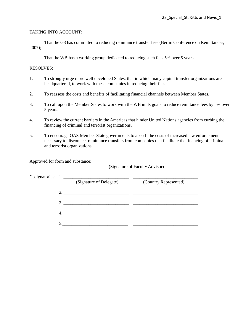## TAKING INTO ACCOUNT:

That the G8 has committed to reducing remittance transfer fees (Berlin Conference on Remittances, 2007);

That the WB has a working group dedicated to reducing such fees 5% over 5 years,

- 1. To strongly urge more well developed States, that in which many capital transfer organizations are headquartered, to work with these companies in reducing their fees.
- 2. To reassess the costs and benefits of facilitating financial channels between Member States.
- 3. To call upon the Member States to work with the WB in its goals to reduce remittance fees by 5% over 5 years.
- 4. To review the current barriers in the Americas that hinder United Nations agencies from curbing the financing of criminal and terrorist organizations.
- 5. To encourage OAS Member State governments to absorb the costs of increased law enforcement necessary to disconnect remittance transfers from companies that facilitate the financing of criminal and terrorist organizations.

| Approved for form and substance: |                   |                         | (Signature of Faculty Advisor) |  |
|----------------------------------|-------------------|-------------------------|--------------------------------|--|
|                                  | Cosignatories: 1. | (Signature of Delegate) | (Country Represented)          |  |
|                                  |                   | 2.                      |                                |  |
|                                  |                   | 3.                      |                                |  |
|                                  | 4.                |                         |                                |  |
|                                  |                   |                         |                                |  |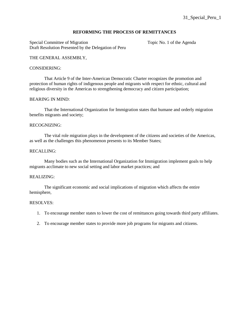## **REFORMING THE PROCESS OF REMITTANCES**

Special Committee of Migration Topic No. 1 of the Agenda Draft Resolution Presented by the Delegation of Peru

## THE GENERAL ASSEMBLY,

#### CONSIDERING:

That Article 9 of the Inter-American Democratic Charter recognizes the promotion and protection of human rights of indigenous people and migrants with respect for ethnic, cultural and religious diversity in the Americas to strengthening democracy and citizen participation;

## BEARING IN MIND:

That the International Organization for Immigration states that humane and orderly migration benefits migrants and society;

## RECOGNIZING:

The vital role migration plays in the development of the citizens and societies of the Americas, as well as the challenges this phenomenon presents to its Member States;

## RECALLING:

Many bodies such as the International Organization for Immigration implement goals to help migrants acclimate to new social setting and labor market practices; and

## REALIZING:

The significant economic and social implications of migration which affects the entire hemisphere,

- 1. To encourage member states to lower the cost of remittances going towards third party affiliates.
- 2. To encourage member states to provide more job programs for migrants and citizens.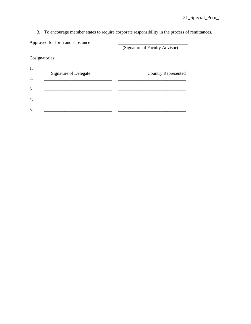3. To encourage member states to require corporate responsibility in the process of remittances.

Approved for form and substance

(Signature of Faculty Advisor)

Cosignatories:

| <b>Signature of Delegate</b> | <b>Country Represented</b> |
|------------------------------|----------------------------|
|                              |                            |
|                              |                            |
|                              |                            |
|                              |                            |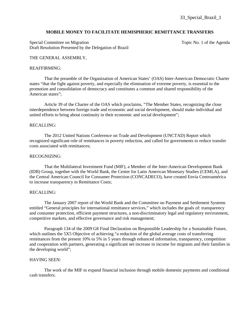#### **MOBILE MONEY TO FACILITATE HEMISPHERIC REMITTANCE TRANSFERS**

Special Committee on Migration Topic No. 1 of the Agenda Draft Resolution Presented by the Delegation of Brazil

#### THE GENERAL ASSEMBLY,

#### REAFFIRMING:

That the preamble of the Organization of American States' (OAS) Inter-American Democratic Charter states "that the fight against poverty, and especially the elimination of extreme poverty, is essential to the promotion and consolidation of democracy and constitutes a common and shared responsibility of the American states";

Article 39 of the Charter of the OAS which proclaims, "The Member States, recognizing the close interdependence between foreign trade and economic and social development, should make individual and united efforts to bring about continuity in their economic and social development";

#### RECALLING:

The 2012 United Nations Conference on Trade and Development (UNCTAD) Report which recognized significant role of remittances in poverty reduction, and called for governments to reduce transfer costs associated with remittances;

#### RECOGNIZING:

That the Multilateral Investment Fund (MIF), a Member of the Inter-American Development Bank (IDB) Group, together with the World Bank, the Center for Latin American Monetary Studies (CEMLA), and the Central American Council for Consumer Protection (CONCADECO), have created Envía Centroamérica to increase transparency in Remittance Costs;

#### RECALLING:

The January 2007 report of the World Bank and the Committee on Payment and Settlement Systems entitled "General principles for international remittance services," which includes the goals of: transparency and consumer protection, efficient payment structures, a non-discriminatory legal and regulatory environment, competitive markets, and effective governance and risk management;

Paragraph 134 of the 2009 G8 Final Declaration on Responsible Leadership for a Sustainable Future, which outlines the 5X5 Objective of achieving "a reduction of the global average costs of transferring remittances from the present 10% to 5% in 5 years through enhanced information, transparency, competition and cooperation with partners, generating a significant net increase in income for migrants and their families in the developing world";

#### HAVING SEEN:

The work of the MIF to expand financial inclusion through mobile domestic payments and conditional cash transfers;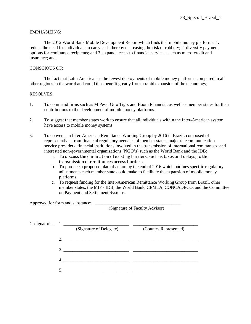## EMPHASIZING:

The 2012 World Bank Mobile Development Report which finds that mobile money platforms: 1. reduce the need for individuals to carry cash thereby decreasing the risk of robbery; 2. diversify payment options for remittance recipients; and 3. expand access to financial services, such as micro-credit and insurance; and

## CONSCIOUS OF:

The fact that Latin America has the fewest deployments of mobile money platforms compared to all other regions in the world and could thus benefit greatly from a rapid expansion of the technology,

## RESOLVES:

- 1. To commend firms such as M Pesa, Giro Tigo, and Boom Financial, as well as member states for their contributions to the development of mobile money platforms.
- 2. To suggest that member states work to ensure that all individuals within the Inter-American system have access to mobile money systems.
- 3. To convene an Inter-American Remittance Working Group by 2016 in Brazil, composed of representatives from financial regulatory agencies of member states, major telecommunications service providers, financial institutions involved in the transmission of international remittances, and interested non-governmental organizations (NGO's) such as the World Bank and the IDB:
	- a. To discuss the elimination of existing barriers, such as taxes and delays, to the transmission of remittances across borders.
	- b. To produce a proposed plan of action by the end of 2016 which outlines specific regulatory adjustments each member state could make to facilitate the expansion of mobile money platforms.
	- c. To request funding for the Inter-American Remittance Working Group from Brazil, other member states, the MIF - IDB, the World Bank, CEMLA, CONCADECO, and the Committee on Payment and Settlement Systems.

Approved for form and substance:

(Signature of Faculty Advisor)

|  | Cosignatories: 1.                                                                                                                                                                                                                                                                                                      |                       |
|--|------------------------------------------------------------------------------------------------------------------------------------------------------------------------------------------------------------------------------------------------------------------------------------------------------------------------|-----------------------|
|  | (Signature of Delegate)                                                                                                                                                                                                                                                                                                | (Country Represented) |
|  | 2. $\frac{1}{2}$ $\frac{1}{2}$ $\frac{1}{2}$ $\frac{1}{2}$ $\frac{1}{2}$ $\frac{1}{2}$ $\frac{1}{2}$ $\frac{1}{2}$ $\frac{1}{2}$ $\frac{1}{2}$ $\frac{1}{2}$ $\frac{1}{2}$ $\frac{1}{2}$ $\frac{1}{2}$ $\frac{1}{2}$ $\frac{1}{2}$ $\frac{1}{2}$ $\frac{1}{2}$ $\frac{1}{2}$ $\frac{1}{2}$ $\frac{1}{2}$ $\frac{1}{2}$ |                       |
|  | 3.                                                                                                                                                                                                                                                                                                                     |                       |
|  |                                                                                                                                                                                                                                                                                                                        |                       |
|  |                                                                                                                                                                                                                                                                                                                        |                       |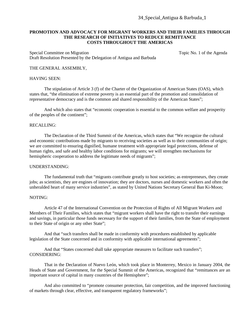## **PROMOTION AND ADVOCACY FOR MIGRANT WORKERS AND THEIR FAMILIES THROUGH THE RESEARCH OF INITIATIVES TO REDUCE REMITTANCE COSTS THROUGHOUT THE AMERICAS**

Special Committee on Migration Special Committee on Migration Topic No. 1 of the Agenda Draft Resolution Presented by the Delegation of Antigua and Barbuda

## THE GENERAL ASSEMBLY,

## HAVING SEEN:

The stipulation of Article 3 (f) of the Charter of the Organization of American States (OAS), which states that, "the elimination of extreme poverty is an essential part of the promotion and consolidation of representative democracy and is the common and shared responsibility of the American States";

And which also states that "economic cooperation is essential to the common welfare and prosperity of the peoples of the continent";

#### RECALLING:

The Declaration of the Third Summit of the Americas, which states that "We recognize the cultural and economic contributions made by migrants to receiving societies as well as to their communities of origin; we are committed to ensuring dignified, humane treatment with appropriate legal protections, defense of human rights, and safe and healthy labor conditions for migrants; we will strengthen mechanisms for hemispheric cooperation to address the legitimate needs of migrants";

## UNDERSTANDING:

The fundamental truth that "migrants contribute greatly to host societies; as entrepreneurs, they create jobs; as scientists, they are engines of innovation; they are doctors, nurses and domestic workers and often the unheralded heart of many service industries", as stated by United Nations Secretary General Ban Ki-Moon;

#### NOTING:

Article 47 of the International Convention on the Protection of Rights of All Migrant Workers and Members of Their Families, which states that "migrant workers shall have the right to transfer their earnings and savings, in particular those funds necessary for the support of their families, from the State of employment to their State of origin or any other State";

And that "such transfers shall be made in conformity with procedures established by applicable legislation of the State concerned and in conformity with applicable international agreements";

And that "States concerned shall take appropriate measures to facilitate such transfers"; CONSIDERING:

That in the Declaration of Nuevo León, which took place in Monterrey, Mexico in January 2004, the Heads of State and Government, for the Special Summit of the Americas, recognized that "remittances are an important source of capital in many countries of the Hemisphere";

And also committed to "promote consumer protection, fair competition, and the improved functioning of markets through clear, effective, and transparent regulatory frameworks";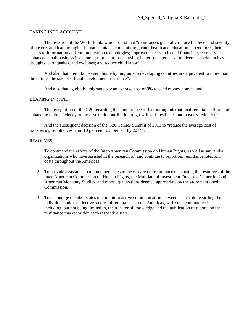## TAKING INTO ACCOUNT:

The research of the World Bank, which found that "remittances generally reduce the level and severity of poverty and lead to: higher human capital accumulation; greater health and education expenditures; better access to information and communication technologies; improved access to formal financial sector services; enhanced small business investment; more entrepreneurship; better preparedness for adverse shocks such as droughts, earthquakes, and cyclones; and reduce child labor";

And also that "remittances sent home by migrants to developing countries are equivalent to more than three times the size of official development assistance";

And also that "globally, migrants pay an average cost of 9% to send money home"; and

## BEARING IN MIND:

The recognition of the G20 regarding the "importance of facilitating international remittance flows and enhancing their efficiency to increase their contribution to growth with resilience and poverty reduction";

And the subsequent decision of the G20 Cannes Summit of 2011 to "reduce the average cost of transferring remittances from 10 per cent to 5 percent by 2014",

- 1. To commend the efforts of the Inter-American Commission on Human Rights, as well as any and all organizations who have assisted in the research of, and continue to report on, remittance rates and costs throughout the Americas.
- 2. To provide assistance to all member states in the research of remittance data, using the resources of the Inter-American Commission on Human Rights, the Multilateral Investment Fund, the Center for Latin American Monetary Studies, and other organizations deemed appropriate by the aforementioned Commission.
- 3. To encourage member states to commit to active communication between each state regarding the individual and/or collective studies of remittances in the Americas, with such communication including, but not being limited to, the transfer of knowledge and the publication of reports on the remittance market within each respective state.